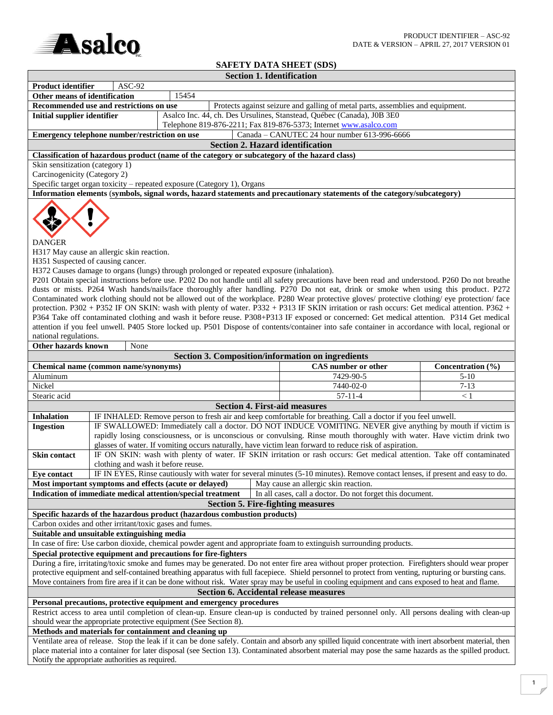

# **SAFETY DATA SHEET (SDS)**

|                                                                                                                                                                                                                        |                                                                                                                                                                                                                                       |                                                                                           |  | <b>Section 1. Identification</b>                                                                                                                                                                                                                                                                                                                                                                                                                                                                                                                                                                                                                                                                                                                                                                                                                                                       |                   |  |  |  |  |
|------------------------------------------------------------------------------------------------------------------------------------------------------------------------------------------------------------------------|---------------------------------------------------------------------------------------------------------------------------------------------------------------------------------------------------------------------------------------|-------------------------------------------------------------------------------------------|--|----------------------------------------------------------------------------------------------------------------------------------------------------------------------------------------------------------------------------------------------------------------------------------------------------------------------------------------------------------------------------------------------------------------------------------------------------------------------------------------------------------------------------------------------------------------------------------------------------------------------------------------------------------------------------------------------------------------------------------------------------------------------------------------------------------------------------------------------------------------------------------------|-------------------|--|--|--|--|
| <b>Product identifier</b>                                                                                                                                                                                              | $ASC-92$                                                                                                                                                                                                                              |                                                                                           |  |                                                                                                                                                                                                                                                                                                                                                                                                                                                                                                                                                                                                                                                                                                                                                                                                                                                                                        |                   |  |  |  |  |
| Other means of identification                                                                                                                                                                                          |                                                                                                                                                                                                                                       | 15454                                                                                     |  |                                                                                                                                                                                                                                                                                                                                                                                                                                                                                                                                                                                                                                                                                                                                                                                                                                                                                        |                   |  |  |  |  |
| Recommended use and restrictions on use<br>Protects against seizure and galling of metal parts, assemblies and equipment.                                                                                              |                                                                                                                                                                                                                                       |                                                                                           |  |                                                                                                                                                                                                                                                                                                                                                                                                                                                                                                                                                                                                                                                                                                                                                                                                                                                                                        |                   |  |  |  |  |
| Asalco Inc. 44, ch. Des Ursulines, Stanstead, Québec (Canada), J0B 3E0<br><b>Initial supplier identifier</b>                                                                                                           |                                                                                                                                                                                                                                       |                                                                                           |  |                                                                                                                                                                                                                                                                                                                                                                                                                                                                                                                                                                                                                                                                                                                                                                                                                                                                                        |                   |  |  |  |  |
| Telephone 819-876-2211; Fax 819-876-5373; Internet www.asalco.com                                                                                                                                                      |                                                                                                                                                                                                                                       |                                                                                           |  |                                                                                                                                                                                                                                                                                                                                                                                                                                                                                                                                                                                                                                                                                                                                                                                                                                                                                        |                   |  |  |  |  |
| Canada - CANUTEC 24 hour number 613-996-6666<br>Emergency telephone number/restriction on use                                                                                                                          |                                                                                                                                                                                                                                       |                                                                                           |  |                                                                                                                                                                                                                                                                                                                                                                                                                                                                                                                                                                                                                                                                                                                                                                                                                                                                                        |                   |  |  |  |  |
| <b>Section 2. Hazard identification</b>                                                                                                                                                                                |                                                                                                                                                                                                                                       |                                                                                           |  |                                                                                                                                                                                                                                                                                                                                                                                                                                                                                                                                                                                                                                                                                                                                                                                                                                                                                        |                   |  |  |  |  |
|                                                                                                                                                                                                                        | Classification of hazardous product (name of the category or subcategory of the hazard class)<br>Skin sensitization (category 1)                                                                                                      |                                                                                           |  |                                                                                                                                                                                                                                                                                                                                                                                                                                                                                                                                                                                                                                                                                                                                                                                                                                                                                        |                   |  |  |  |  |
| Carcinogenicity (Category 2)                                                                                                                                                                                           |                                                                                                                                                                                                                                       |                                                                                           |  |                                                                                                                                                                                                                                                                                                                                                                                                                                                                                                                                                                                                                                                                                                                                                                                                                                                                                        |                   |  |  |  |  |
| Specific target organ toxicity - repeated exposure (Category 1), Organs                                                                                                                                                |                                                                                                                                                                                                                                       |                                                                                           |  |                                                                                                                                                                                                                                                                                                                                                                                                                                                                                                                                                                                                                                                                                                                                                                                                                                                                                        |                   |  |  |  |  |
|                                                                                                                                                                                                                        |                                                                                                                                                                                                                                       |                                                                                           |  | Information elements (symbols, signal words, hazard statements and precautionary statements of the category/subcategory)                                                                                                                                                                                                                                                                                                                                                                                                                                                                                                                                                                                                                                                                                                                                                               |                   |  |  |  |  |
| <b>DANGER</b><br>H317 May cause an allergic skin reaction.<br>H351 Suspected of causing cancer.<br>national regulations.                                                                                               |                                                                                                                                                                                                                                       | H372 Causes damage to organs (lungs) through prolonged or repeated exposure (inhalation). |  | P201 Obtain special instructions before use. P202 Do not handle until all safety precautions have been read and understood. P260 Do not breathe<br>dusts or mists. P264 Wash hands/nails/face thoroughly after handling. P270 Do not eat, drink or smoke when using this product. P272<br>Contaminated work clothing should not be allowed out of the workplace. P280 Wear protective gloves/ protective clothing/ eye protection/ face<br>protection. P302 + P352 IF ON SKIN: wash with plenty of water. P332 + P313 IF SKIN irritation or rash occurs: Get medical attention. P362 +<br>P364 Take off contaminated clothing and wash it before reuse. P308+P313 IF exposed or concerned: Get medical attention. P314 Get medical<br>attention if you feel unwell. P405 Store locked up. P501 Dispose of contents/container into safe container in accordance with local, regional or |                   |  |  |  |  |
| <b>Other hazards known</b>                                                                                                                                                                                             | None                                                                                                                                                                                                                                  |                                                                                           |  |                                                                                                                                                                                                                                                                                                                                                                                                                                                                                                                                                                                                                                                                                                                                                                                                                                                                                        |                   |  |  |  |  |
|                                                                                                                                                                                                                        |                                                                                                                                                                                                                                       |                                                                                           |  | <b>Section 3. Composition/information on ingredients</b>                                                                                                                                                                                                                                                                                                                                                                                                                                                                                                                                                                                                                                                                                                                                                                                                                               |                   |  |  |  |  |
| Chemical name (common name/synonyms)                                                                                                                                                                                   |                                                                                                                                                                                                                                       |                                                                                           |  | CAS number or other                                                                                                                                                                                                                                                                                                                                                                                                                                                                                                                                                                                                                                                                                                                                                                                                                                                                    | Concentration (%) |  |  |  |  |
| Aluminum                                                                                                                                                                                                               |                                                                                                                                                                                                                                       |                                                                                           |  | 7429-90-5                                                                                                                                                                                                                                                                                                                                                                                                                                                                                                                                                                                                                                                                                                                                                                                                                                                                              | $5 - 10$          |  |  |  |  |
| Nickel                                                                                                                                                                                                                 |                                                                                                                                                                                                                                       |                                                                                           |  | 7440-02-0                                                                                                                                                                                                                                                                                                                                                                                                                                                                                                                                                                                                                                                                                                                                                                                                                                                                              | $7 - 13$          |  |  |  |  |
| Stearic acid                                                                                                                                                                                                           |                                                                                                                                                                                                                                       |                                                                                           |  | $57 - 11 - 4$                                                                                                                                                                                                                                                                                                                                                                                                                                                                                                                                                                                                                                                                                                                                                                                                                                                                          | $\leq 1$          |  |  |  |  |
|                                                                                                                                                                                                                        |                                                                                                                                                                                                                                       |                                                                                           |  | <b>Section 4. First-aid measures</b>                                                                                                                                                                                                                                                                                                                                                                                                                                                                                                                                                                                                                                                                                                                                                                                                                                                   |                   |  |  |  |  |
| <b>Inhalation</b>                                                                                                                                                                                                      |                                                                                                                                                                                                                                       |                                                                                           |  | IF INHALED: Remove person to fresh air and keep comfortable for breathing. Call a doctor if you feel unwell.                                                                                                                                                                                                                                                                                                                                                                                                                                                                                                                                                                                                                                                                                                                                                                           |                   |  |  |  |  |
| <b>Ingestion</b>                                                                                                                                                                                                       | IF SWALLOWED: Immediately call a doctor. DO NOT INDUCE VOMITING. NEVER give anything by mouth if victim is<br>rapidly losing consciousness, or is unconscious or convulsing. Rinse mouth thoroughly with water. Have victim drink two |                                                                                           |  |                                                                                                                                                                                                                                                                                                                                                                                                                                                                                                                                                                                                                                                                                                                                                                                                                                                                                        |                   |  |  |  |  |
| <b>Skin contact</b>                                                                                                                                                                                                    | glasses of water. If vomiting occurs naturally, have victim lean forward to reduce risk of aspiration.<br>IF ON SKIN: wash with plenty of water. IF SKIN irritation or rash occurs: Get medical attention. Take off contaminated      |                                                                                           |  |                                                                                                                                                                                                                                                                                                                                                                                                                                                                                                                                                                                                                                                                                                                                                                                                                                                                                        |                   |  |  |  |  |
|                                                                                                                                                                                                                        | clothing and wash it before reuse.                                                                                                                                                                                                    |                                                                                           |  |                                                                                                                                                                                                                                                                                                                                                                                                                                                                                                                                                                                                                                                                                                                                                                                                                                                                                        |                   |  |  |  |  |
| IF IN EYES, Rinse cautiously with water for several minutes (5-10 minutes). Remove contact lenses, if present and easy to do.<br><b>Eye contact</b>                                                                    |                                                                                                                                                                                                                                       |                                                                                           |  |                                                                                                                                                                                                                                                                                                                                                                                                                                                                                                                                                                                                                                                                                                                                                                                                                                                                                        |                   |  |  |  |  |
| Most important symptoms and effects (acute or delayed)<br>May cause an allergic skin reaction.                                                                                                                         |                                                                                                                                                                                                                                       |                                                                                           |  |                                                                                                                                                                                                                                                                                                                                                                                                                                                                                                                                                                                                                                                                                                                                                                                                                                                                                        |                   |  |  |  |  |
| Indication of immediate medical attention/special treatment<br>In all cases, call a doctor. Do not forget this document.<br><b>Section 5. Fire-fighting measures</b>                                                   |                                                                                                                                                                                                                                       |                                                                                           |  |                                                                                                                                                                                                                                                                                                                                                                                                                                                                                                                                                                                                                                                                                                                                                                                                                                                                                        |                   |  |  |  |  |
| Specific hazards of the hazardous product (hazardous combustion products)                                                                                                                                              |                                                                                                                                                                                                                                       |                                                                                           |  |                                                                                                                                                                                                                                                                                                                                                                                                                                                                                                                                                                                                                                                                                                                                                                                                                                                                                        |                   |  |  |  |  |
| Carbon oxides and other irritant/toxic gases and fumes.                                                                                                                                                                |                                                                                                                                                                                                                                       |                                                                                           |  |                                                                                                                                                                                                                                                                                                                                                                                                                                                                                                                                                                                                                                                                                                                                                                                                                                                                                        |                   |  |  |  |  |
| Suitable and unsuitable extinguishing media                                                                                                                                                                            |                                                                                                                                                                                                                                       |                                                                                           |  |                                                                                                                                                                                                                                                                                                                                                                                                                                                                                                                                                                                                                                                                                                                                                                                                                                                                                        |                   |  |  |  |  |
| In case of fire: Use carbon dioxide, chemical powder agent and appropriate foam to extinguish surrounding products.                                                                                                    |                                                                                                                                                                                                                                       |                                                                                           |  |                                                                                                                                                                                                                                                                                                                                                                                                                                                                                                                                                                                                                                                                                                                                                                                                                                                                                        |                   |  |  |  |  |
| Special protective equipment and precautions for fire-fighters                                                                                                                                                         |                                                                                                                                                                                                                                       |                                                                                           |  |                                                                                                                                                                                                                                                                                                                                                                                                                                                                                                                                                                                                                                                                                                                                                                                                                                                                                        |                   |  |  |  |  |
| During a fire, irritating/toxic smoke and fumes may be generated. Do not enter fire area without proper protection. Firefighters should wear proper                                                                    |                                                                                                                                                                                                                                       |                                                                                           |  |                                                                                                                                                                                                                                                                                                                                                                                                                                                                                                                                                                                                                                                                                                                                                                                                                                                                                        |                   |  |  |  |  |
| protective equipment and self-contained breathing apparatus with full facepiece. Shield personnel to protect from venting, rupturing or bursting cans.                                                                 |                                                                                                                                                                                                                                       |                                                                                           |  |                                                                                                                                                                                                                                                                                                                                                                                                                                                                                                                                                                                                                                                                                                                                                                                                                                                                                        |                   |  |  |  |  |
| Move containers from fire area if it can be done without risk. Water spray may be useful in cooling equipment and cans exposed to heat and flame.<br><b>Section 6. Accidental release measures</b>                     |                                                                                                                                                                                                                                       |                                                                                           |  |                                                                                                                                                                                                                                                                                                                                                                                                                                                                                                                                                                                                                                                                                                                                                                                                                                                                                        |                   |  |  |  |  |
|                                                                                                                                                                                                                        |                                                                                                                                                                                                                                       |                                                                                           |  |                                                                                                                                                                                                                                                                                                                                                                                                                                                                                                                                                                                                                                                                                                                                                                                                                                                                                        |                   |  |  |  |  |
| Personal precautions, protective equipment and emergency procedures<br>Restrict access to area until completion of clean-up. Ensure clean-up is conducted by trained personnel only. All persons dealing with clean-up |                                                                                                                                                                                                                                       |                                                                                           |  |                                                                                                                                                                                                                                                                                                                                                                                                                                                                                                                                                                                                                                                                                                                                                                                                                                                                                        |                   |  |  |  |  |
| should wear the appropriate protective equipment (See Section 8).                                                                                                                                                      |                                                                                                                                                                                                                                       |                                                                                           |  |                                                                                                                                                                                                                                                                                                                                                                                                                                                                                                                                                                                                                                                                                                                                                                                                                                                                                        |                   |  |  |  |  |
| Methods and materials for containment and cleaning up<br>Ventilate area of release. Stop the leak if it can be done safely. Contain and absorb any spilled liquid concentrate with inert absorbent material, then      |                                                                                                                                                                                                                                       |                                                                                           |  |                                                                                                                                                                                                                                                                                                                                                                                                                                                                                                                                                                                                                                                                                                                                                                                                                                                                                        |                   |  |  |  |  |
|                                                                                                                                                                                                                        |                                                                                                                                                                                                                                       |                                                                                           |  | place material into a container for later disposal (see Section 13). Contaminated absorbent material may pose the same hazards as the spilled product.                                                                                                                                                                                                                                                                                                                                                                                                                                                                                                                                                                                                                                                                                                                                 |                   |  |  |  |  |
| Notify the appropriate authorities as required.                                                                                                                                                                        |                                                                                                                                                                                                                                       |                                                                                           |  |                                                                                                                                                                                                                                                                                                                                                                                                                                                                                                                                                                                                                                                                                                                                                                                                                                                                                        |                   |  |  |  |  |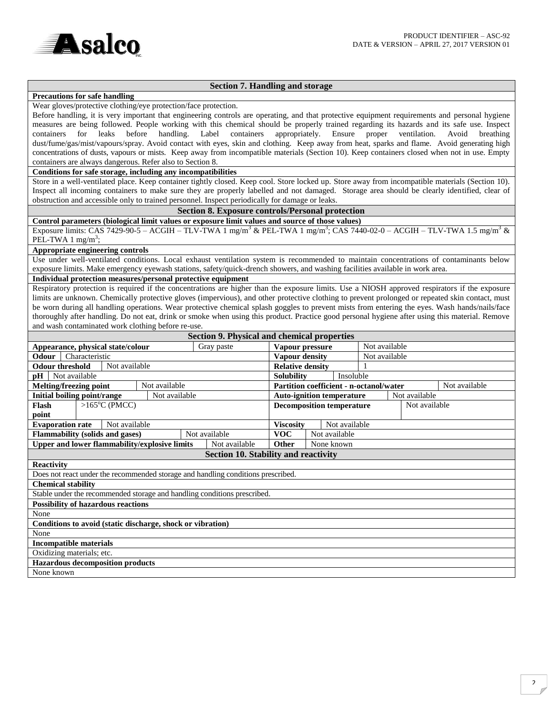

# **Section 7. Handling and storage**

## **Precautions for safe handling**

Wear gloves/protective clothing/eye protection/face protection.

Before handling, it is very important that engineering controls are operating, and that protective equipment requirements and personal hygiene measures are being followed. People working with this chemical should be properly trained regarding its hazards and its safe use. Inspect containers for leaks before handling. Label containers appropriately. Ensure proper ventilation. Avoid breathing dust/fume/gas/mist/vapours/spray. Avoid contact with eyes, skin and clothing. Keep away from heat, sparks and flame. Avoid generating high concentrations of dusts, vapours or mists. Keep away from incompatible materials (Section 10). Keep containers closed when not in use. Empty containers are always dangerous. Refer also to Section 8.

**Conditions for safe storage, including any incompatibilities**

Store in a well-ventilated place. Keep container tightly closed. Keep cool. Store locked up. Store away from incompatible materials (Section 10). Inspect all incoming containers to make sure they are properly labelled and not damaged. Storage area should be clearly identified, clear of obstruction and accessible only to trained personnel. Inspect periodically for damage or leaks.

# **Section 8. Exposure controls/Personal protection**

**Control parameters (biological limit values or exposure limit values and source of those values)**  Exposure limits: CAS 7429-90-5 – ACGIH – TLV-TWA 1 mg/m<sup>3</sup> & PEL-TWA 1 mg/m<sup>3</sup>; CAS 7440-02-0 – ACGIH – TLV-TWA 1.5 mg/m<sup>3</sup> &  $PEL-TWA 1 mg/m^3;$ 

#### **Appropriate engineering controls**

Use under well-ventilated conditions. Local exhaust ventilation system is recommended to maintain concentrations of contaminants below exposure limits. Make emergency eyewash stations, safety/quick-drench showers, and washing facilities available in work area.

### **Individual protection measures/personal protective equipment**

Respiratory protection is required if the concentrations are higher than the exposure limits. Use a NIOSH approved respirators if the exposure limits are unknown. Chemically protective gloves (impervious), and other protective clothing to prevent prolonged or repeated skin contact, must be worn during all handling operations. Wear protective chemical splash goggles to prevent mists from entering the eyes. Wash hands/nails/face thoroughly after handling. Do not eat, drink or smoke when using this product. Practice good personal hygiene after using this material. Remove and wash contaminated work clothing before re-use.

| <b>Section 9. Physical and chemical properties</b>                               |                                                  |                 |                                                   |                                                          |  |               |  |  |  |  |
|----------------------------------------------------------------------------------|--------------------------------------------------|-----------------|---------------------------------------------------|----------------------------------------------------------|--|---------------|--|--|--|--|
| Appearance, physical state/colour                                                | Gray paste                                       | Vapour pressure |                                                   | Not available                                            |  |               |  |  |  |  |
| Characteristic<br>Odour                                                          |                                                  |                 | Vapour density                                    |                                                          |  | Not available |  |  |  |  |
| Not available<br><b>Odour threshold</b>                                          |                                                  |                 | <b>Relative density</b>                           |                                                          |  |               |  |  |  |  |
| $pH$   Not available                                                             |                                                  |                 |                                                   | Insoluble<br><b>Solubility</b>                           |  |               |  |  |  |  |
| Not available<br><b>Melting/freezing point</b>                                   |                                                  |                 |                                                   | Partition coefficient - n-octanol/water<br>Not available |  |               |  |  |  |  |
| Initial boiling point/range<br>Not available                                     |                                                  |                 |                                                   | Not available<br><b>Auto-ignition temperature</b>        |  |               |  |  |  |  |
| $>165^{\circ}$ C (PMCC)<br>Flash                                                 |                                                  |                 | Not available<br><b>Decomposition temperature</b> |                                                          |  |               |  |  |  |  |
| point                                                                            |                                                  |                 |                                                   |                                                          |  |               |  |  |  |  |
| <b>Evaporation rate</b><br>Not available                                         |                                                  |                 |                                                   | Not available<br><b>Viscosity</b>                        |  |               |  |  |  |  |
|                                                                                  | Not available<br>Flammability (solids and gases) |                 |                                                   | Not available<br><b>VOC</b>                              |  |               |  |  |  |  |
| Upper and lower flammability/explosive limits<br>Not available                   |                                                  |                 | <b>Other</b><br>None known                        |                                                          |  |               |  |  |  |  |
| <b>Section 10. Stability and reactivity</b>                                      |                                                  |                 |                                                   |                                                          |  |               |  |  |  |  |
| <b>Reactivity</b>                                                                |                                                  |                 |                                                   |                                                          |  |               |  |  |  |  |
| Does not react under the recommended storage and handling conditions prescribed. |                                                  |                 |                                                   |                                                          |  |               |  |  |  |  |
| <b>Chemical stability</b>                                                        |                                                  |                 |                                                   |                                                          |  |               |  |  |  |  |
| Stable under the recommended storage and handling conditions prescribed.         |                                                  |                 |                                                   |                                                          |  |               |  |  |  |  |
| <b>Possibility of hazardous reactions</b>                                        |                                                  |                 |                                                   |                                                          |  |               |  |  |  |  |
| None                                                                             |                                                  |                 |                                                   |                                                          |  |               |  |  |  |  |
| Conditions to avoid (static discharge, shock or vibration)                       |                                                  |                 |                                                   |                                                          |  |               |  |  |  |  |
| None                                                                             |                                                  |                 |                                                   |                                                          |  |               |  |  |  |  |
| <b>Incompatible materials</b>                                                    |                                                  |                 |                                                   |                                                          |  |               |  |  |  |  |
| Oxidizing materials; etc.                                                        |                                                  |                 |                                                   |                                                          |  |               |  |  |  |  |
| <b>Hazardous decomposition products</b>                                          |                                                  |                 |                                                   |                                                          |  |               |  |  |  |  |
| None known                                                                       |                                                  |                 |                                                   |                                                          |  |               |  |  |  |  |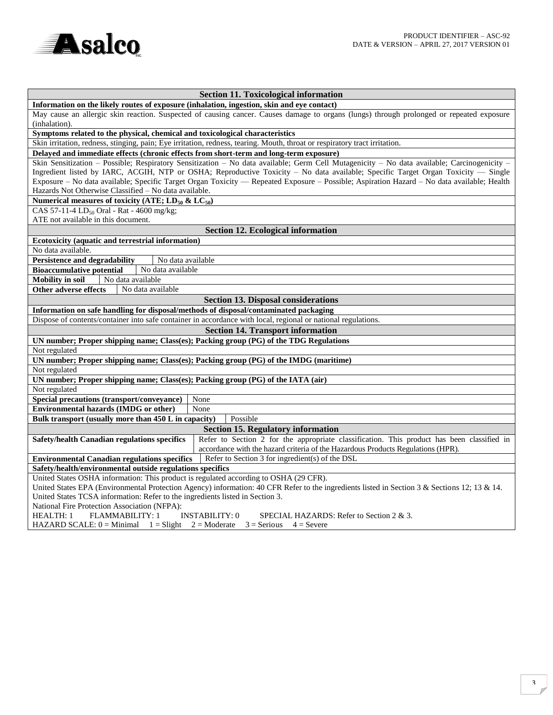

| <b>Section 11. Toxicological information</b>                                                                                                                                                                                  |  |  |  |  |  |  |
|-------------------------------------------------------------------------------------------------------------------------------------------------------------------------------------------------------------------------------|--|--|--|--|--|--|
| Information on the likely routes of exposure (inhalation, ingestion, skin and eye contact)                                                                                                                                    |  |  |  |  |  |  |
| May cause an allergic skin reaction. Suspected of causing cancer. Causes damage to organs (lungs) through prolonged or repeated exposure<br>(inhalation).                                                                     |  |  |  |  |  |  |
| Symptoms related to the physical, chemical and toxicological characteristics                                                                                                                                                  |  |  |  |  |  |  |
| Skin irritation, redness, stinging, pain; Eye irritation, redness, tearing. Mouth, throat or respiratory tract irritation.                                                                                                    |  |  |  |  |  |  |
| Delayed and immediate effects (chronic effects from short-term and long-term exposure)                                                                                                                                        |  |  |  |  |  |  |
| Skin Sensitization - Possible; Respiratory Sensitization - No data available; Germ Cell Mutagenicity - No data available; Carcinogenicity -                                                                                   |  |  |  |  |  |  |
| Ingredient listed by IARC, ACGIH, NTP or OSHA; Reproductive Toxicity - No data available; Specific Target Organ Toxicity - Single                                                                                             |  |  |  |  |  |  |
| Exposure - No data available; Specific Target Organ Toxicity - Repeated Exposure - Possible; Aspiration Hazard - No data available; Health                                                                                    |  |  |  |  |  |  |
| Hazards Not Otherwise Classified - No data available.                                                                                                                                                                         |  |  |  |  |  |  |
| Numerical measures of toxicity (ATE; $LD_{50}$ & $LC_{50}$ )                                                                                                                                                                  |  |  |  |  |  |  |
| CAS 57-11-4 LD <sub>50</sub> Oral - Rat - 4600 mg/kg;                                                                                                                                                                         |  |  |  |  |  |  |
| ATE not available in this document.                                                                                                                                                                                           |  |  |  |  |  |  |
| <b>Section 12. Ecological information</b>                                                                                                                                                                                     |  |  |  |  |  |  |
| Ecotoxicity (aquatic and terrestrial information)                                                                                                                                                                             |  |  |  |  |  |  |
| No data available.                                                                                                                                                                                                            |  |  |  |  |  |  |
| <b>Persistence and degradability</b><br>No data available                                                                                                                                                                     |  |  |  |  |  |  |
| No data available<br><b>Bioaccumulative potential</b>                                                                                                                                                                         |  |  |  |  |  |  |
| Mobility in soil<br>No data available                                                                                                                                                                                         |  |  |  |  |  |  |
| <b>Other adverse effects</b><br>No data available                                                                                                                                                                             |  |  |  |  |  |  |
| <b>Section 13. Disposal considerations</b>                                                                                                                                                                                    |  |  |  |  |  |  |
| Information on safe handling for disposal/methods of disposal/contaminated packaging                                                                                                                                          |  |  |  |  |  |  |
| Dispose of contents/container into safe container in accordance with local, regional or national regulations.                                                                                                                 |  |  |  |  |  |  |
| <b>Section 14. Transport information</b>                                                                                                                                                                                      |  |  |  |  |  |  |
| UN number; Proper shipping name; Class(es); Packing group (PG) of the TDG Regulations                                                                                                                                         |  |  |  |  |  |  |
| Not regulated                                                                                                                                                                                                                 |  |  |  |  |  |  |
| UN number; Proper shipping name; Class(es); Packing group (PG) of the IMDG (maritime)                                                                                                                                         |  |  |  |  |  |  |
| Not regulated                                                                                                                                                                                                                 |  |  |  |  |  |  |
| UN number; Proper shipping name; Class(es); Packing group (PG) of the IATA (air)                                                                                                                                              |  |  |  |  |  |  |
| Not regulated                                                                                                                                                                                                                 |  |  |  |  |  |  |
| Special precautions (transport/conveyance)<br>None                                                                                                                                                                            |  |  |  |  |  |  |
| <b>Environmental hazards (IMDG or other)</b><br>None                                                                                                                                                                          |  |  |  |  |  |  |
| Bulk transport (usually more than 450 L in capacity)<br>Possible                                                                                                                                                              |  |  |  |  |  |  |
| <b>Section 15. Regulatory information</b>                                                                                                                                                                                     |  |  |  |  |  |  |
| Refer to Section 2 for the appropriate classification. This product has been classified in<br>Safety/health Canadian regulations specifics                                                                                    |  |  |  |  |  |  |
| accordance with the hazard criteria of the Hazardous Products Regulations (HPR).                                                                                                                                              |  |  |  |  |  |  |
| Refer to Section 3 for ingredient(s) of the DSL<br><b>Environmental Canadian regulations specifics</b>                                                                                                                        |  |  |  |  |  |  |
| Safety/health/environmental outside regulations specifics                                                                                                                                                                     |  |  |  |  |  |  |
| United States OSHA information: This product is regulated according to OSHA (29 CFR).                                                                                                                                         |  |  |  |  |  |  |
| United States EPA (Environmental Protection Agency) information: 40 CFR Refer to the ingredients listed in Section 3 & Sections 12; 13 & 14.<br>United States TCSA information: Refer to the ingredients listed in Section 3. |  |  |  |  |  |  |
| National Fire Protection Association (NFPA):                                                                                                                                                                                  |  |  |  |  |  |  |
| <b>INSTABILITY: 0</b><br><b>HEALTH: 1</b><br><b>FLAMMABILITY: 1</b><br>SPECIAL HAZARDS: Refer to Section 2 & 3.                                                                                                               |  |  |  |  |  |  |
| HAZARD SCALE: $0 =$ Minimal $1 =$ Slight $2 =$ Moderate $3 =$ Serious $4 =$ Severe                                                                                                                                            |  |  |  |  |  |  |
|                                                                                                                                                                                                                               |  |  |  |  |  |  |